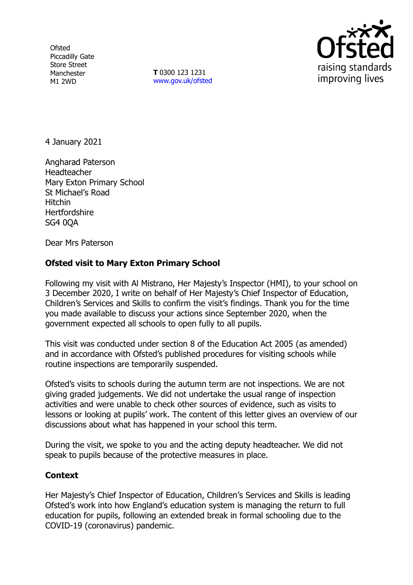**Ofsted** Piccadilly Gate Store Street Manchester M1 2WD

**T** 0300 123 1231 [www.gov.uk/ofsted](http://www.gov.uk/ofsted)



4 January 2021

Angharad Paterson **Headteacher** Mary Exton Primary School St Michael's Road Hitchin **Hertfordshire** SG4 0QA

Dear Mrs Paterson

## **Ofsted visit to Mary Exton Primary School**

Following my visit with Al Mistrano, Her Majesty's Inspector (HMI), to your school on 3 December 2020, I write on behalf of Her Majesty's Chief Inspector of Education, Children's Services and Skills to confirm the visit's findings. Thank you for the time you made available to discuss your actions since September 2020, when the government expected all schools to open fully to all pupils.

This visit was conducted under section 8 of the Education Act 2005 (as amended) and in accordance with Ofsted's published procedures for visiting schools while routine inspections are temporarily suspended.

Ofsted's visits to schools during the autumn term are not inspections. We are not giving graded judgements. We did not undertake the usual range of inspection activities and were unable to check other sources of evidence, such as visits to lessons or looking at pupils' work. The content of this letter gives an overview of our discussions about what has happened in your school this term.

During the visit, we spoke to you and the acting deputy headteacher. We did not speak to pupils because of the protective measures in place.

## **Context**

Her Majesty's Chief Inspector of Education, Children's Services and Skills is leading Ofsted's work into how England's education system is managing the return to full education for pupils, following an extended break in formal schooling due to the COVID-19 (coronavirus) pandemic.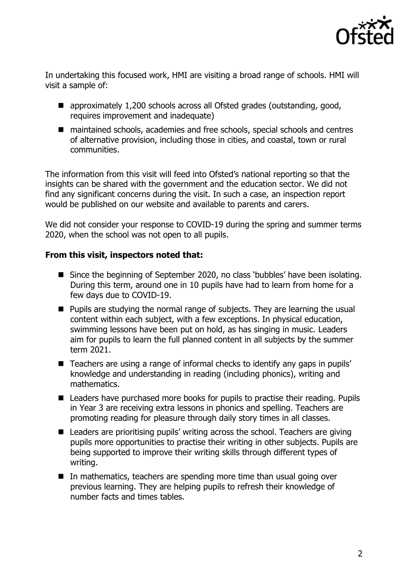

In undertaking this focused work, HMI are visiting a broad range of schools. HMI will visit a sample of:

- approximately 1,200 schools across all Ofsted grades (outstanding, good, requires improvement and inadequate)
- maintained schools, academies and free schools, special schools and centres of alternative provision, including those in cities, and coastal, town or rural communities.

The information from this visit will feed into Ofsted's national reporting so that the insights can be shared with the government and the education sector. We did not find any significant concerns during the visit. In such a case, an inspection report would be published on our website and available to parents and carers.

We did not consider your response to COVID-19 during the spring and summer terms 2020, when the school was not open to all pupils.

## **From this visit, inspectors noted that:**

- Since the beginning of September 2020, no class 'bubbles' have been isolating. During this term, around one in 10 pupils have had to learn from home for a few days due to COVID-19.
- Pupils are studying the normal range of subjects. They are learning the usual content within each subject, with a few exceptions. In physical education, swimming lessons have been put on hold, as has singing in music. Leaders aim for pupils to learn the full planned content in all subjects by the summer term 2021.
- Teachers are using a range of informal checks to identify any gaps in pupils' knowledge and understanding in reading (including phonics), writing and mathematics.
- Leaders have purchased more books for pupils to practise their reading. Pupils in Year 3 are receiving extra lessons in phonics and spelling. Teachers are promoting reading for pleasure through daily story times in all classes.
- Leaders are prioritising pupils' writing across the school. Teachers are giving pupils more opportunities to practise their writing in other subjects. Pupils are being supported to improve their writing skills through different types of writing.
- $\blacksquare$  In mathematics, teachers are spending more time than usual going over previous learning. They are helping pupils to refresh their knowledge of number facts and times tables.